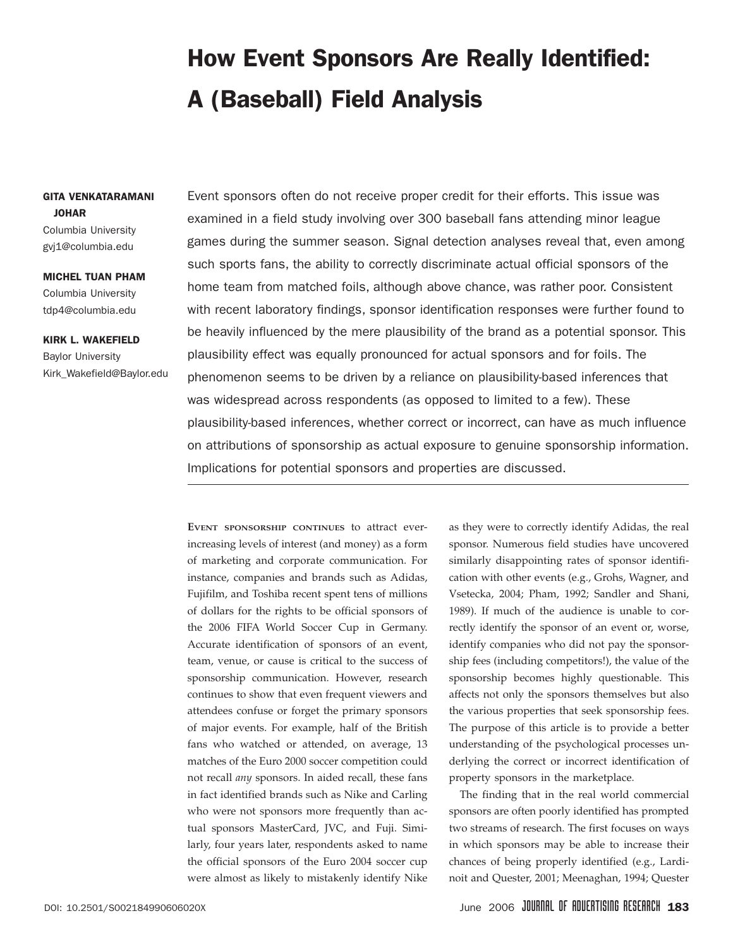# How Event Sponsors Are Really Identified: A (Baseball) Field Analysis

### GITA VENKATARAMANI JOHAR

Columbia University gvj1@columbia.edu

MICHEL TUAN PHAM Columbia University tdp4@columbia.edu

KIRK L. WAKEFIELD Baylor University Kirk\_Wakefield@Baylor.edu Event sponsors often do not receive proper credit for their efforts. This issue was examined in a field study involving over 300 baseball fans attending minor league games during the summer season. Signal detection analyses reveal that, even among such sports fans, the ability to correctly discriminate actual official sponsors of the home team from matched foils, although above chance, was rather poor. Consistent with recent laboratory findings, sponsor identification responses were further found to be heavily influenced by the mere plausibility of the brand as a potential sponsor. This plausibility effect was equally pronounced for actual sponsors and for foils. The phenomenon seems to be driven by a reliance on plausibility-based inferences that was widespread across respondents (as opposed to limited to a few). These plausibility-based inferences, whether correct or incorrect, can have as much influence on attributions of sponsorship as actual exposure to genuine sponsorship information. Implications for potential sponsors and properties are discussed.

**EVENT SPONSORSHIP CONTINUES** to attract everincreasing levels of interest (and money) as a form of marketing and corporate communication. For instance, companies and brands such as Adidas, Fujifilm, and Toshiba recent spent tens of millions of dollars for the rights to be official sponsors of the 2006 FIFA World Soccer Cup in Germany. Accurate identification of sponsors of an event, team, venue, or cause is critical to the success of sponsorship communication. However, research continues to show that even frequent viewers and attendees confuse or forget the primary sponsors of major events. For example, half of the British fans who watched or attended, on average, 13 matches of the Euro 2000 soccer competition could not recall *any* sponsors. In aided recall, these fans in fact identified brands such as Nike and Carling who were not sponsors more frequently than actual sponsors MasterCard, JVC, and Fuji. Similarly, four years later, respondents asked to name the official sponsors of the Euro 2004 soccer cup were almost as likely to mistakenly identify Nike

as they were to correctly identify Adidas, the real sponsor. Numerous field studies have uncovered similarly disappointing rates of sponsor identification with other events (e.g., Grohs, Wagner, and Vsetecka, 2004; Pham, 1992; Sandler and Shani, 1989). If much of the audience is unable to correctly identify the sponsor of an event or, worse, identify companies who did not pay the sponsorship fees (including competitors!), the value of the sponsorship becomes highly questionable. This affects not only the sponsors themselves but also the various properties that seek sponsorship fees. The purpose of this article is to provide a better understanding of the psychological processes underlying the correct or incorrect identification of property sponsors in the marketplace.

The finding that in the real world commercial sponsors are often poorly identified has prompted two streams of research. The first focuses on ways in which sponsors may be able to increase their chances of being properly identified (e.g., Lardinoit and Quester, 2001; Meenaghan, 1994; Quester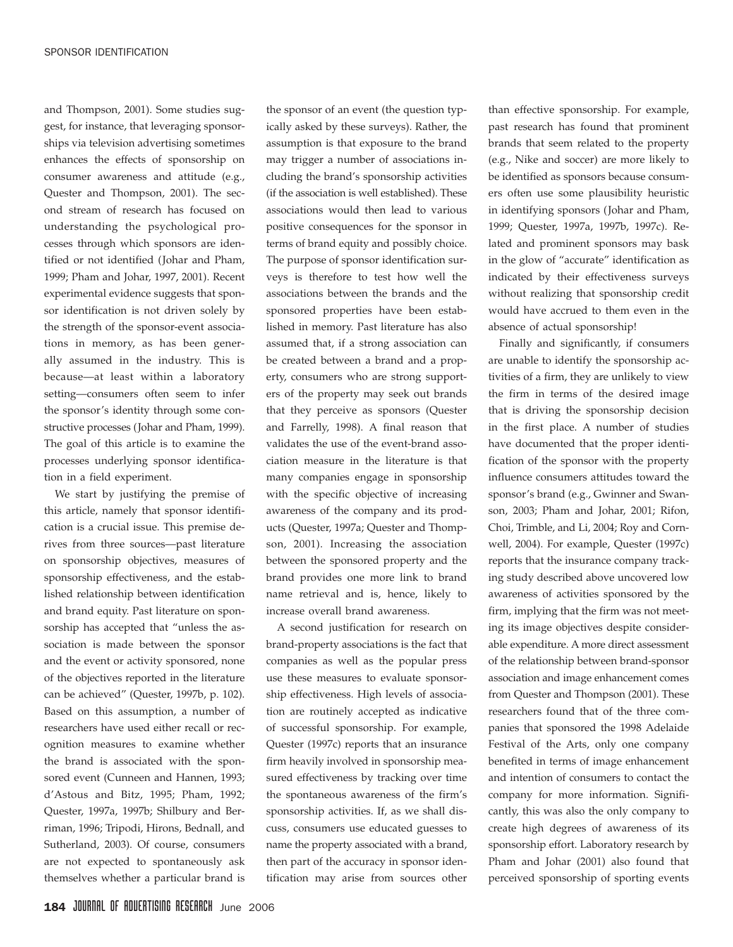and Thompson, 2001). Some studies suggest, for instance, that leveraging sponsorships via television advertising sometimes enhances the effects of sponsorship on consumer awareness and attitude (e.g., Quester and Thompson, 2001). The second stream of research has focused on understanding the psychological processes through which sponsors are identified or not identified (Johar and Pham, 1999; Pham and Johar, 1997, 2001). Recent experimental evidence suggests that sponsor identification is not driven solely by the strength of the sponsor-event associations in memory, as has been generally assumed in the industry. This is because—at least within a laboratory setting—consumers often seem to infer the sponsor's identity through some constructive processes (Johar and Pham, 1999). The goal of this article is to examine the processes underlying sponsor identification in a field experiment.

We start by justifying the premise of this article, namely that sponsor identification is a crucial issue. This premise derives from three sources—past literature on sponsorship objectives, measures of sponsorship effectiveness, and the established relationship between identification and brand equity. Past literature on sponsorship has accepted that "unless the association is made between the sponsor and the event or activity sponsored, none of the objectives reported in the literature can be achieved" (Quester, 1997b, p. 102). Based on this assumption, a number of researchers have used either recall or recognition measures to examine whether the brand is associated with the sponsored event (Cunneen and Hannen, 1993; d'Astous and Bitz, 1995; Pham, 1992; Quester, 1997a, 1997b; Shilbury and Berriman, 1996; Tripodi, Hirons, Bednall, and Sutherland, 2003). Of course, consumers are not expected to spontaneously ask themselves whether a particular brand is

the sponsor of an event (the question typically asked by these surveys). Rather, the assumption is that exposure to the brand may trigger a number of associations including the brand's sponsorship activities (if the association is well established). These associations would then lead to various positive consequences for the sponsor in terms of brand equity and possibly choice. The purpose of sponsor identification surveys is therefore to test how well the associations between the brands and the sponsored properties have been established in memory. Past literature has also assumed that, if a strong association can be created between a brand and a property, consumers who are strong supporters of the property may seek out brands that they perceive as sponsors (Quester and Farrelly, 1998). A final reason that validates the use of the event-brand association measure in the literature is that many companies engage in sponsorship with the specific objective of increasing awareness of the company and its products (Quester, 1997a; Quester and Thompson, 2001). Increasing the association between the sponsored property and the brand provides one more link to brand name retrieval and is, hence, likely to increase overall brand awareness.

A second justification for research on brand-property associations is the fact that companies as well as the popular press use these measures to evaluate sponsorship effectiveness. High levels of association are routinely accepted as indicative of successful sponsorship. For example, Quester (1997c) reports that an insurance firm heavily involved in sponsorship measured effectiveness by tracking over time the spontaneous awareness of the firm's sponsorship activities. If, as we shall discuss, consumers use educated guesses to name the property associated with a brand, then part of the accuracy in sponsor identification may arise from sources other than effective sponsorship. For example, past research has found that prominent brands that seem related to the property (e.g., Nike and soccer) are more likely to be identified as sponsors because consumers often use some plausibility heuristic in identifying sponsors (Johar and Pham, 1999; Quester, 1997a, 1997b, 1997c). Related and prominent sponsors may bask in the glow of "accurate" identification as indicated by their effectiveness surveys without realizing that sponsorship credit would have accrued to them even in the absence of actual sponsorship!

Finally and significantly, if consumers are unable to identify the sponsorship activities of a firm, they are unlikely to view the firm in terms of the desired image that is driving the sponsorship decision in the first place. A number of studies have documented that the proper identification of the sponsor with the property influence consumers attitudes toward the sponsor's brand (e.g., Gwinner and Swanson, 2003; Pham and Johar, 2001; Rifon, Choi, Trimble, and Li, 2004; Roy and Cornwell, 2004). For example, Quester (1997c) reports that the insurance company tracking study described above uncovered low awareness of activities sponsored by the firm, implying that the firm was not meeting its image objectives despite considerable expenditure. A more direct assessment of the relationship between brand-sponsor association and image enhancement comes from Quester and Thompson (2001). These researchers found that of the three companies that sponsored the 1998 Adelaide Festival of the Arts, only one company benefited in terms of image enhancement and intention of consumers to contact the company for more information. Significantly, this was also the only company to create high degrees of awareness of its sponsorship effort. Laboratory research by Pham and Johar (2001) also found that perceived sponsorship of sporting events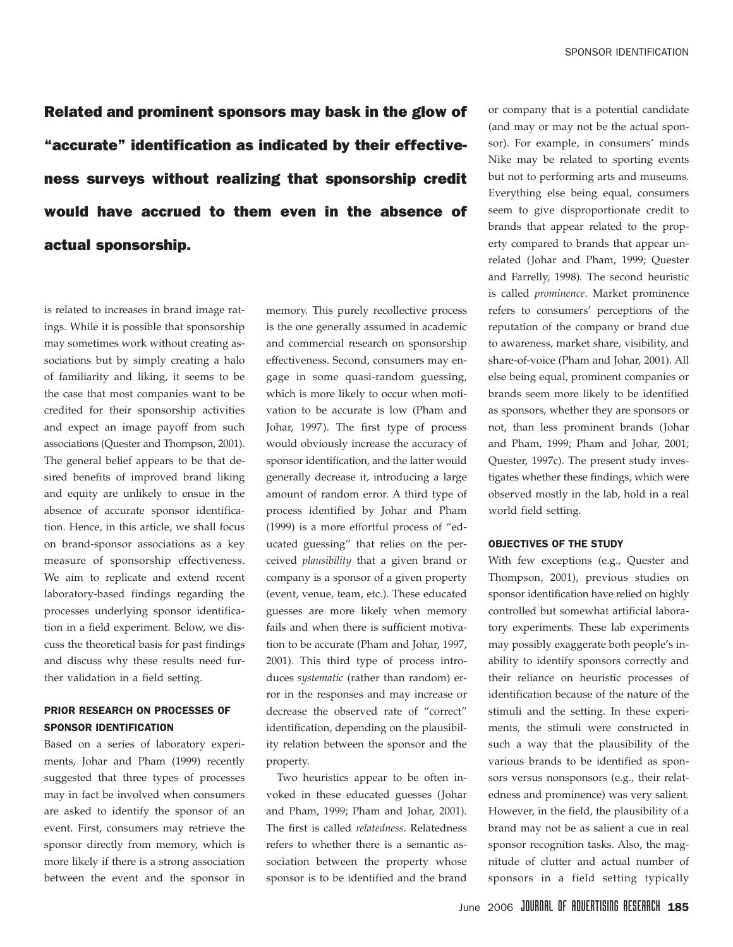Related and prominent sponsors may bask in the glow of "accurate" identification as indicated by their effectiveness surveys without realizing that sponsorship credit would have accrued to them even in the absence of actual sponsorship.

is related to increases in brand image ratings. While it is possible that sponsorship may sometimes work without creating associations but by simply creating a halo of familiarity and liking, it seems to be the case that most companies want to be credited for their sponsorship activities and expect an image payoff from such associations (Quester and Thompson, 2001). The general belief appears to be that desired benefits of improved brand liking and equity are unlikely to ensue in the absence of accurate sponsor identification. Hence, in this article, we shall focus on brand-sponsor associations as a key measure of sponsorship effectiveness. We aim to replicate and extend recent laboratory-based findings regarding the processes underlying sponsor identification in a field experiment. Below, we discuss the theoretical basis for past findings and discuss why these results need further validation in a field setting.

# PRIOR RESEARCH ON PROCESSES OF SPONSOR IDENTIFICATION

Based on a series of laboratory experiments, Johar and Pham (1999) recently suggested that three types of processes may in fact be involved when consumers are asked to identify the sponsor of an event. First, consumers may retrieve the sponsor directly from memory, which is more likely if there is a strong association between the event and the sponsor in

memory. This purely recollective process is the one generally assumed in academic and commercial research on sponsorship effectiveness. Second, consumers may engage in some quasi-random guessing, which is more likely to occur when motivation to be accurate is low (Pham and Johar, 1997). The first type of process would obviously increase the accuracy of sponsor identification, and the latter would generally decrease it, introducing a large amount of random error. A third type of process identified by Johar and Pham (1999) is a more effortful process of "educated guessing" that relies on the perceived *plausibility* that a given brand or company is a sponsor of a given property (event, venue, team, etc.). These educated guesses are more likely when memory fails and when there is sufficient motivation to be accurate (Pham and Johar, 1997, 2001). This third type of process introduces *systematic* (rather than random) error in the responses and may increase or decrease the observed rate of "correct" identification, depending on the plausibility relation between the sponsor and the property.

Two heuristics appear to be often invoked in these educated guesses (Johar and Pham, 1999; Pham and Johar, 2001). The first is called *relatedness*. Relatedness refers to whether there is a semantic association between the property whose sponsor is to be identified and the brand or company that is a potential candidate (and may or may not be the actual sponsor). For example, in consumers' minds Nike may be related to sporting events but not to performing arts and museums. Everything else being equal, consumers seem to give disproportionate credit to brands that appear related to the property compared to brands that appear unrelated (Johar and Pham, 1999; Quester and Farrelly, 1998). The second heuristic is called *prominence*. Market prominence refers to consumers' perceptions of the reputation of the company or brand due to awareness, market share, visibility, and share-of-voice (Pham and Johar, 2001). All else being equal, prominent companies or brands seem more likely to be identified as sponsors, whether they are sponsors or not, than less prominent brands (Johar and Pham, 1999; Pham and Johar, 2001; Quester, 1997c). The present study investigates whether these findings, which were observed mostly in the lab, hold in a real world field setting.

#### OBJECTIVES OF THE STUDY

With few exceptions (e.g., Quester and Thompson, 2001), previous studies on sponsor identification have relied on highly controlled but somewhat artificial laboratory experiments. These lab experiments may possibly exaggerate both people's inability to identify sponsors correctly and their reliance on heuristic processes of identification because of the nature of the stimuli and the setting. In these experiments, the stimuli were constructed in such a way that the plausibility of the various brands to be identified as sponsors versus nonsponsors (e.g., their relatedness and prominence) was very salient. However, in the field, the plausibility of a brand may not be as salient a cue in real sponsor recognition tasks. Also, the magnitude of clutter and actual number of sponsors in a field setting typically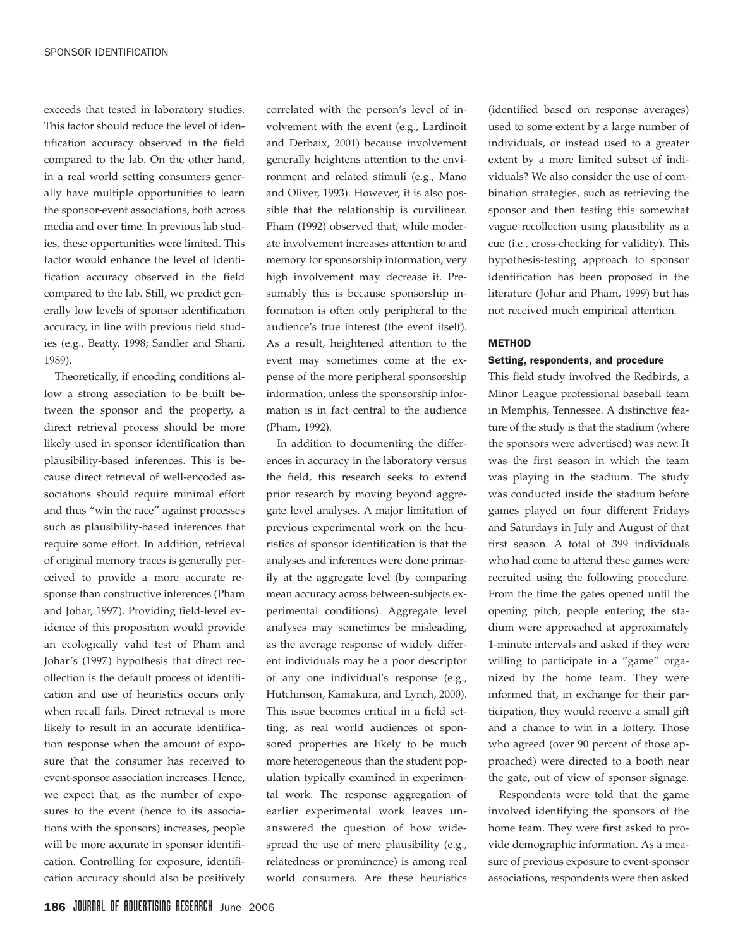exceeds that tested in laboratory studies. This factor should reduce the level of identification accuracy observed in the field compared to the lab. On the other hand, in a real world setting consumers generally have multiple opportunities to learn the sponsor-event associations, both across media and over time. In previous lab studies, these opportunities were limited. This factor would enhance the level of identification accuracy observed in the field compared to the lab. Still, we predict generally low levels of sponsor identification accuracy, in line with previous field studies (e.g., Beatty, 1998; Sandler and Shani, 1989).

Theoretically, if encoding conditions allow a strong association to be built between the sponsor and the property, a direct retrieval process should be more likely used in sponsor identification than plausibility-based inferences. This is because direct retrieval of well-encoded associations should require minimal effort and thus "win the race" against processes such as plausibility-based inferences that require some effort. In addition, retrieval of original memory traces is generally perceived to provide a more accurate response than constructive inferences (Pham and Johar, 1997). Providing field-level evidence of this proposition would provide an ecologically valid test of Pham and Johar's (1997) hypothesis that direct recollection is the default process of identification and use of heuristics occurs only when recall fails. Direct retrieval is more likely to result in an accurate identification response when the amount of exposure that the consumer has received to event-sponsor association increases. Hence, we expect that, as the number of exposures to the event (hence to its associations with the sponsors) increases, people will be more accurate in sponsor identification. Controlling for exposure, identification accuracy should also be positively

correlated with the person's level of involvement with the event (e.g., Lardinoit and Derbaix, 2001) because involvement generally heightens attention to the environment and related stimuli (e.g., Mano and Oliver, 1993). However, it is also possible that the relationship is curvilinear. Pham (1992) observed that, while moderate involvement increases attention to and memory for sponsorship information, very high involvement may decrease it. Presumably this is because sponsorship information is often only peripheral to the audience's true interest (the event itself). As a result, heightened attention to the event may sometimes come at the expense of the more peripheral sponsorship information, unless the sponsorship information is in fact central to the audience (Pham, 1992).

In addition to documenting the differences in accuracy in the laboratory versus the field, this research seeks to extend prior research by moving beyond aggregate level analyses. A major limitation of previous experimental work on the heuristics of sponsor identification is that the analyses and inferences were done primarily at the aggregate level (by comparing mean accuracy across between-subjects experimental conditions). Aggregate level analyses may sometimes be misleading, as the average response of widely different individuals may be a poor descriptor of any one individual's response (e.g., Hutchinson, Kamakura, and Lynch, 2000). This issue becomes critical in a field setting, as real world audiences of sponsored properties are likely to be much more heterogeneous than the student population typically examined in experimental work. The response aggregation of earlier experimental work leaves unanswered the question of how widespread the use of mere plausibility (e.g., relatedness or prominence) is among real world consumers. Are these heuristics (identified based on response averages) used to some extent by a large number of individuals, or instead used to a greater extent by a more limited subset of individuals? We also consider the use of combination strategies, such as retrieving the sponsor and then testing this somewhat vague recollection using plausibility as a cue (i.e., cross-checking for validity). This hypothesis-testing approach to sponsor identification has been proposed in the literature (Johar and Pham, 1999) but has not received much empirical attention.

#### **METHOD**

#### Setting, respondents, and procedure

This field study involved the Redbirds, a Minor League professional baseball team in Memphis, Tennessee. A distinctive feature of the study is that the stadium (where the sponsors were advertised) was new. It was the first season in which the team was playing in the stadium. The study was conducted inside the stadium before games played on four different Fridays and Saturdays in July and August of that first season. A total of 399 individuals who had come to attend these games were recruited using the following procedure. From the time the gates opened until the opening pitch, people entering the stadium were approached at approximately 1-minute intervals and asked if they were willing to participate in a "game" organized by the home team. They were informed that, in exchange for their participation, they would receive a small gift and a chance to win in a lottery. Those who agreed (over 90 percent of those approached) were directed to a booth near the gate, out of view of sponsor signage.

Respondents were told that the game involved identifying the sponsors of the home team. They were first asked to provide demographic information. As a measure of previous exposure to event-sponsor associations, respondents were then asked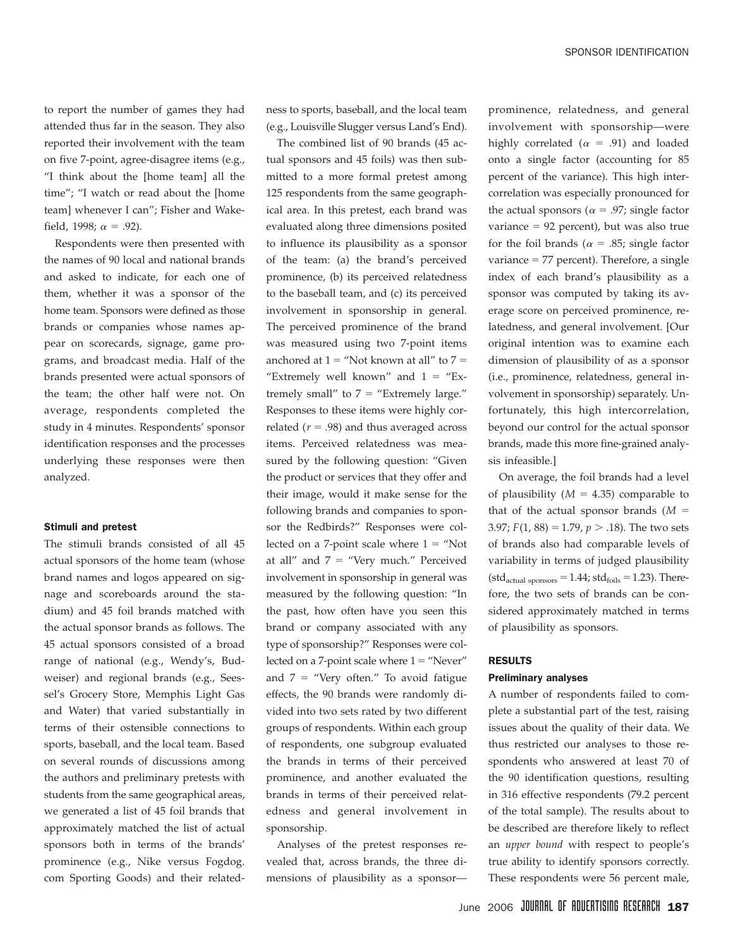to report the number of games they had attended thus far in the season. They also reported their involvement with the team on five 7-point, agree-disagree items (e.g., "I think about the [home team] all the time"; "I watch or read about the [home team] whenever I can"; Fisher and Wakefield, 1998;  $\alpha = .92$ ).

Respondents were then presented with the names of 90 local and national brands and asked to indicate, for each one of them, whether it was a sponsor of the home team. Sponsors were defined as those brands or companies whose names appear on scorecards, signage, game programs, and broadcast media. Half of the brands presented were actual sponsors of the team; the other half were not. On average, respondents completed the study in 4 minutes. Respondents' sponsor identification responses and the processes underlying these responses were then analyzed.

#### Stimuli and pretest

The stimuli brands consisted of all 45 actual sponsors of the home team (whose brand names and logos appeared on signage and scoreboards around the stadium) and 45 foil brands matched with the actual sponsor brands as follows. The 45 actual sponsors consisted of a broad range of national (e.g., Wendy's, Budweiser) and regional brands (e.g., Seessel's Grocery Store, Memphis Light Gas and Water) that varied substantially in terms of their ostensible connections to sports, baseball, and the local team. Based on several rounds of discussions among the authors and preliminary pretests with students from the same geographical areas, we generated a list of 45 foil brands that approximately matched the list of actual sponsors both in terms of the brands' prominence (e.g., Nike versus Fogdog. com Sporting Goods) and their relatedness to sports, baseball, and the local team (e.g., Louisville Slugger versus Land's End).

The combined list of 90 brands (45 actual sponsors and 45 foils) was then submitted to a more formal pretest among 125 respondents from the same geographical area. In this pretest, each brand was evaluated along three dimensions posited to influence its plausibility as a sponsor of the team: (a) the brand's perceived prominence, (b) its perceived relatedness to the baseball team, and (c) its perceived involvement in sponsorship in general. The perceived prominence of the brand was measured using two 7-point items anchored at  $1 =$  "Not known at all" to  $7 =$ "Extremely well known" and  $1 =$  "Extremely small" to  $7 =$  "Extremely large." Responses to these items were highly correlated ( $r = .98$ ) and thus averaged across items. Perceived relatedness was measured by the following question: "Given the product or services that they offer and their image, would it make sense for the following brands and companies to sponsor the Redbirds?" Responses were collected on a 7-point scale where  $1 = "Not"$ at all" and  $7 =$  "Very much." Perceived involvement in sponsorship in general was measured by the following question: "In the past, how often have you seen this brand or company associated with any type of sponsorship?" Responses were collected on a 7-point scale where  $1 =$  "Never" and  $7$  = "Very often." To avoid fatigue effects, the 90 brands were randomly divided into two sets rated by two different groups of respondents. Within each group of respondents, one subgroup evaluated the brands in terms of their perceived prominence, and another evaluated the brands in terms of their perceived relatedness and general involvement in sponsorship.

Analyses of the pretest responses revealed that, across brands, the three dimensions of plausibility as a sponsorprominence, relatedness, and general involvement with sponsorship—were highly correlated ( $\alpha$  = .91) and loaded onto a single factor (accounting for 85 percent of the variance). This high intercorrelation was especially pronounced for the actual sponsors ( $\alpha$  = .97; single factor variance  $= 92$  percent), but was also true for the foil brands ( $\alpha$  = .85; single factor variance  $= 77$  percent). Therefore, a single index of each brand's plausibility as a sponsor was computed by taking its average score on perceived prominence, relatedness, and general involvement. [Our original intention was to examine each dimension of plausibility of as a sponsor (i.e., prominence, relatedness, general involvement in sponsorship) separately. Unfortunately, this high intercorrelation, beyond our control for the actual sponsor brands, made this more fine-grained analysis infeasible.]

On average, the foil brands had a level of plausibility  $(M = 4.35)$  comparable to that of the actual sponsor brands (*M* 3.97;  $F(1, 88) = 1.79$ ,  $p > .18$ ). The two sets of brands also had comparable levels of variability in terms of judged plausibility (std<sub>actual sponsors</sub>  $= 1.44$ ; std<sub>foils</sub>  $= 1.23$ ). Therefore, the two sets of brands can be considered approximately matched in terms of plausibility as sponsors.

#### RESULTS

#### Preliminary analyses

A number of respondents failed to complete a substantial part of the test, raising issues about the quality of their data. We thus restricted our analyses to those respondents who answered at least 70 of the 90 identification questions, resulting in 316 effective respondents (79.2 percent of the total sample). The results about to be described are therefore likely to reflect an *upper bound* with respect to people's true ability to identify sponsors correctly. These respondents were 56 percent male,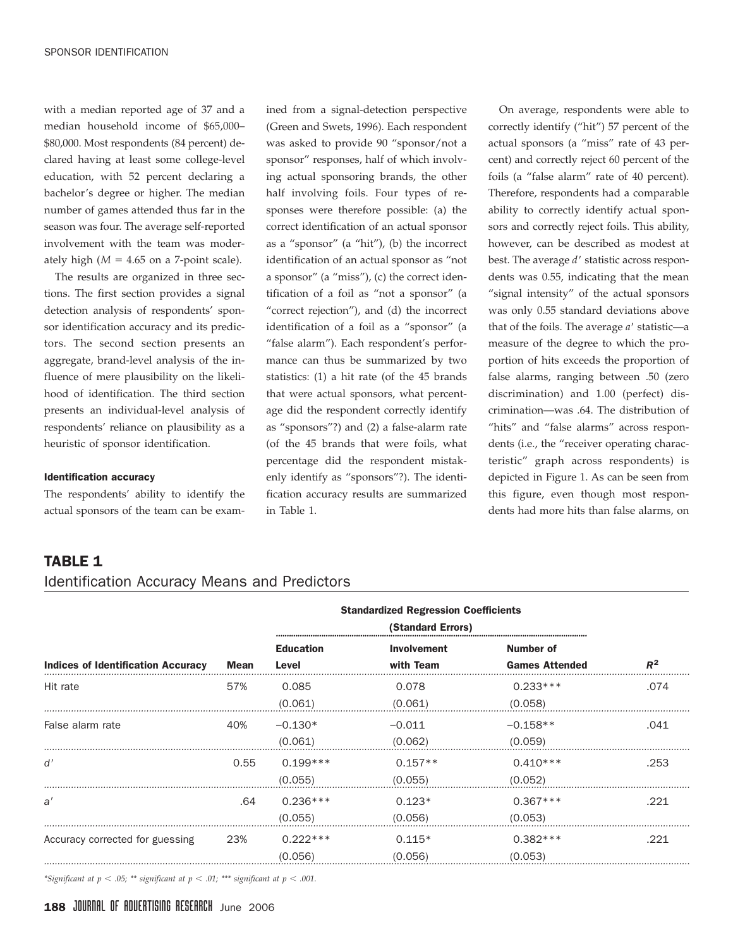with a median reported age of 37 and a median household income of \$65,000– \$80,000. Most respondents (84 percent) declared having at least some college-level education, with 52 percent declaring a bachelor's degree or higher. The median number of games attended thus far in the season was four. The average self-reported involvement with the team was moderately high  $(M = 4.65$  on a 7-point scale).

The results are organized in three sections. The first section provides a signal detection analysis of respondents' sponsor identification accuracy and its predictors. The second section presents an aggregate, brand-level analysis of the influence of mere plausibility on the likelihood of identification. The third section presents an individual-level analysis of respondents' reliance on plausibility as a heuristic of sponsor identification.

#### Identification accuracy

The respondents' ability to identify the actual sponsors of the team can be examined from a signal-detection perspective (Green and Swets, 1996). Each respondent was asked to provide 90 "sponsor/not a sponsor" responses, half of which involving actual sponsoring brands, the other half involving foils. Four types of responses were therefore possible: (a) the correct identification of an actual sponsor as a "sponsor" (a "hit"), (b) the incorrect identification of an actual sponsor as "not a sponsor" (a "miss"), (c) the correct identification of a foil as "not a sponsor" (a "correct rejection"), and (d) the incorrect identification of a foil as a "sponsor" (a "false alarm"). Each respondent's performance can thus be summarized by two statistics: (1) a hit rate (of the 45 brands that were actual sponsors, what percentage did the respondent correctly identify as "sponsors"?) and (2) a false-alarm rate (of the 45 brands that were foils, what percentage did the respondent mistakenly identify as "sponsors"?). The identification accuracy results are summarized in Table 1.

On average, respondents were able to correctly identify ("hit") 57 percent of the actual sponsors (a "miss" rate of 43 percent) and correctly reject 60 percent of the foils (a "false alarm" rate of 40 percent). Therefore, respondents had a comparable ability to correctly identify actual sponsors and correctly reject foils. This ability, however, can be described as modest at best. The average *d*' statistic across respondents was 0.55, indicating that the mean "signal intensity" of the actual sponsors was only 0.55 standard deviations above that of the foils. The average *a*' statistic—a measure of the degree to which the proportion of hits exceeds the proportion of false alarms, ranging between .50 (zero discrimination) and 1.00 (perfect) discrimination—was .64. The distribution of "hits" and "false alarms" across respondents (i.e., the "receiver operating characteristic" graph across respondents) is depicted in Figure 1. As can be seen from this figure, even though most respondents had more hits than false alarms, on

# TABLE 1

# Identification Accuracy Means and Predictors

|                                           |             | <b>Standardized Regression Coefficients</b><br>(Standard Errors) |                          |                                    |       |
|-------------------------------------------|-------------|------------------------------------------------------------------|--------------------------|------------------------------------|-------|
| <b>Indices of Identification Accuracy</b> | <b>Mean</b> | <b>Education</b><br>Level                                        | Involvement<br>with Team | Number of<br><b>Games Attended</b> | $R^2$ |
| Hit rate                                  | 57%         | 0.085<br>(0.061)                                                 | 0.078<br>(0.061)         | $0.233***$<br>(0.058)              | .074  |
| False alarm rate                          | 40%         | $-0.130*$<br>(0.061)                                             | $-0.011$<br>(0.062)      | $-0.158**$<br>(0.059)              | .041  |
| d'                                        | 0.55        | $0.199***$<br>(0.055)                                            | $0.157**$<br>(0.055)     | $0.410***$<br>(0.052)              | .253  |
| a'                                        | .64         | $0.236***$<br>(0.055)                                            | $0.123*$<br>(0.056)      | $0.367***$<br>(0.053)              | .221  |
| Accuracy corrected for guessing           | 23%         | $0.222***$<br>(0.056)                                            | $0.115*$<br>(0.056)      | $0.382***$<br>(0.053)              | .221  |

*\*Significant at p .05; \*\* significant at p .01; \*\*\* significant at p .001.*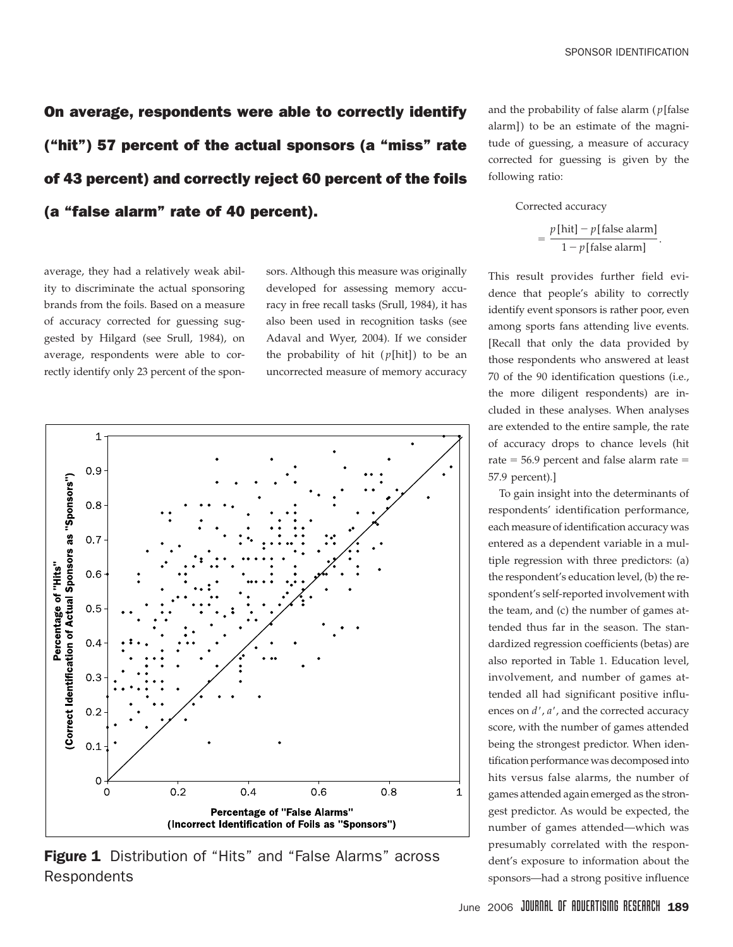On average, respondents were able to correctly identify ("hit") 57 percent of the actual sponsors (a "miss" rate of 43 percent) and correctly reject 60 percent of the foils (a "false alarm" rate of 40 percent).

average, they had a relatively weak ability to discriminate the actual sponsoring brands from the foils. Based on a measure of accuracy corrected for guessing suggested by Hilgard (see Srull, 1984), on average, respondents were able to correctly identify only 23 percent of the sponsors. Although this measure was originally developed for assessing memory accuracy in free recall tasks (Srull, 1984), it has also been used in recognition tasks (see Adaval and Wyer, 2004). If we consider the probability of hit  $(p[hit])$  to be an uncorrected measure of memory accuracy



**Figure 1** Distribution of "Hits" and "False Alarms" across **Respondents** 

and the probability of false alarm ( *p*[false alarm]) to be an estimate of the magnitude of guessing, a measure of accuracy corrected for guessing is given by the following ratio:

#### Corrected accuracy

$$
= \frac{p[\text{hit}] - p[\text{false alarm}]}{1 - p[\text{false alarm}]}.
$$

This result provides further field evidence that people's ability to correctly identify event sponsors is rather poor, even among sports fans attending live events. [Recall that only the data provided by those respondents who answered at least 70 of the 90 identification questions (i.e., the more diligent respondents) are included in these analyses. When analyses are extended to the entire sample, the rate of accuracy drops to chance levels (hit rate  $= 56.9$  percent and false alarm rate  $=$ 57.9 percent).]

To gain insight into the determinants of respondents' identification performance, each measure of identification accuracy was entered as a dependent variable in a multiple regression with three predictors: (a) the respondent's education level, (b) the respondent's self-reported involvement with the team, and (c) the number of games attended thus far in the season. The standardized regression coefficients (betas) are also reported in Table 1. Education level, involvement, and number of games attended all had significant positive influences on *d*' , *a*' , and the corrected accuracy score, with the number of games attended being the strongest predictor. When identification performance was decomposed into hits versus false alarms, the number of games attended again emerged as the strongest predictor. As would be expected, the number of games attended—which was presumably correlated with the respondent's exposure to information about the sponsors—had a strong positive influence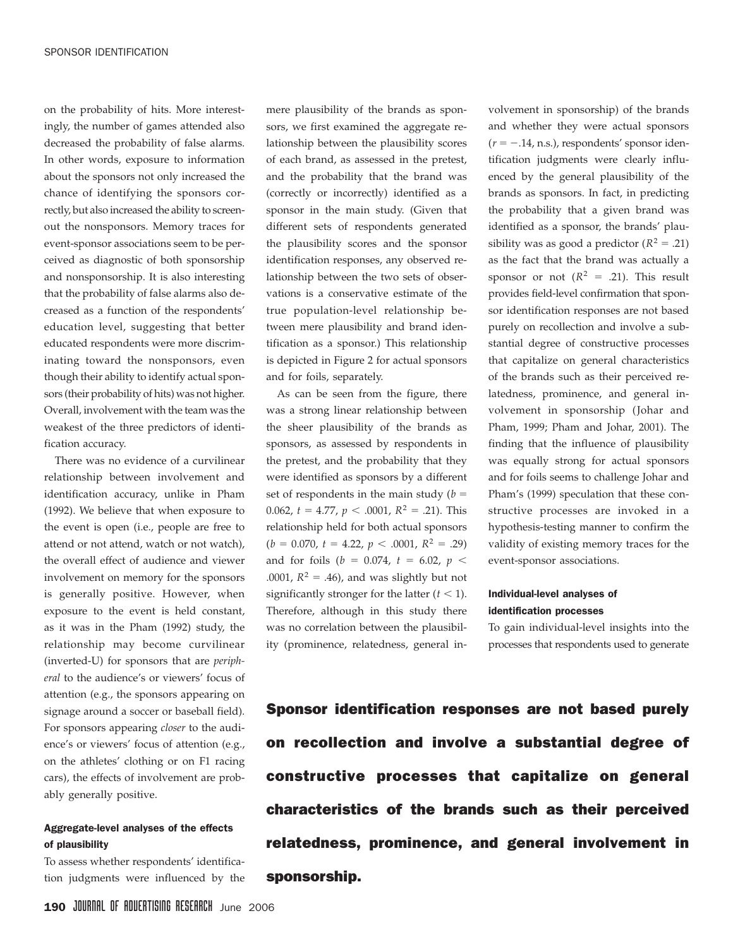on the probability of hits. More interestingly, the number of games attended also decreased the probability of false alarms. In other words, exposure to information about the sponsors not only increased the chance of identifying the sponsors correctly, but also increased the ability to screenout the nonsponsors. Memory traces for event-sponsor associations seem to be perceived as diagnostic of both sponsorship and nonsponsorship. It is also interesting that the probability of false alarms also decreased as a function of the respondents' education level, suggesting that better educated respondents were more discriminating toward the nonsponsors, even though their ability to identify actual sponsors (their probability of hits) was not higher. Overall, involvement with the team was the weakest of the three predictors of identification accuracy.

There was no evidence of a curvilinear relationship between involvement and identification accuracy, unlike in Pham (1992). We believe that when exposure to the event is open (i.e., people are free to attend or not attend, watch or not watch), the overall effect of audience and viewer involvement on memory for the sponsors is generally positive. However, when exposure to the event is held constant, as it was in the Pham (1992) study, the relationship may become curvilinear (inverted-U) for sponsors that are *peripheral* to the audience's or viewers' focus of attention (e.g., the sponsors appearing on signage around a soccer or baseball field). For sponsors appearing *closer* to the audience's or viewers' focus of attention (e.g., on the athletes' clothing or on F1 racing cars), the effects of involvement are probably generally positive.

# Aggregate-level analyses of the effects of plausibility

To assess whether respondents' identification judgments were influenced by the mere plausibility of the brands as sponsors, we first examined the aggregate relationship between the plausibility scores of each brand, as assessed in the pretest, and the probability that the brand was (correctly or incorrectly) identified as a sponsor in the main study. (Given that different sets of respondents generated the plausibility scores and the sponsor identification responses, any observed relationship between the two sets of observations is a conservative estimate of the true population-level relationship between mere plausibility and brand identification as a sponsor.) This relationship is depicted in Figure 2 for actual sponsors and for foils, separately.

As can be seen from the figure, there was a strong linear relationship between the sheer plausibility of the brands as sponsors, as assessed by respondents in the pretest, and the probability that they were identified as sponsors by a different set of respondents in the main study  $(b =$ 0.062,  $t = 4.77$ ,  $p < .0001$ ,  $R^2 = .21$ ). This relationship held for both actual sponsors  $(b = 0.070, t = 4.22, p < .0001, R<sup>2</sup> = .29)$ and for foils ( $b = 0.074$ ,  $t = 6.02$ ,  $p <$ .0001,  $R^2 = .46$ ), and was slightly but not significantly stronger for the latter  $(t < 1)$ . Therefore, although in this study there was no correlation between the plausibility (prominence, relatedness, general involvement in sponsorship) of the brands and whether they were actual sponsors  $(r = -.14, n.s.),$  respondents' sponsor identification judgments were clearly influenced by the general plausibility of the brands as sponsors. In fact, in predicting the probability that a given brand was identified as a sponsor, the brands' plausibility was as good a predictor  $(R^2 = .21)$ as the fact that the brand was actually a sponsor or not  $(R^2 = .21)$ . This result provides field-level confirmation that sponsor identification responses are not based purely on recollection and involve a substantial degree of constructive processes that capitalize on general characteristics of the brands such as their perceived relatedness, prominence, and general involvement in sponsorship (Johar and Pham, 1999; Pham and Johar, 2001). The finding that the influence of plausibility was equally strong for actual sponsors and for foils seems to challenge Johar and Pham's (1999) speculation that these constructive processes are invoked in a hypothesis-testing manner to confirm the validity of existing memory traces for the event-sponsor associations.

# Individual-level analyses of identification processes

To gain individual-level insights into the processes that respondents used to generate

Sponsor identification responses are not based purely on recollection and involve a substantial degree of constructive processes that capitalize on general characteristics of the brands such as their perceived relatedness, prominence, and general involvement in sponsorship.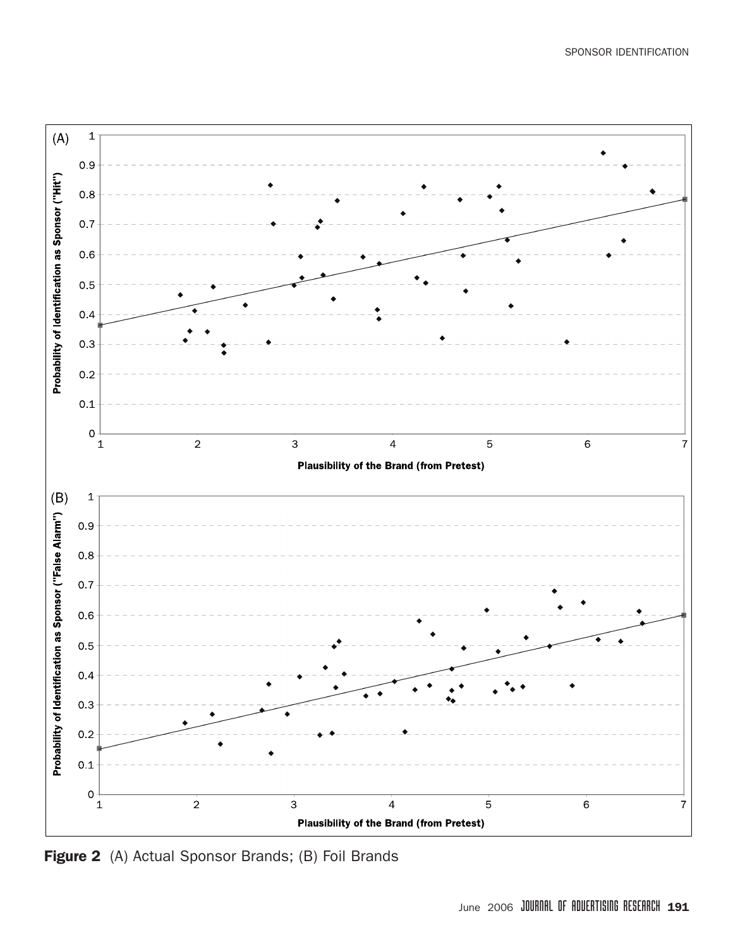

Figure 2 (A) Actual Sponsor Brands; (B) Foil Brands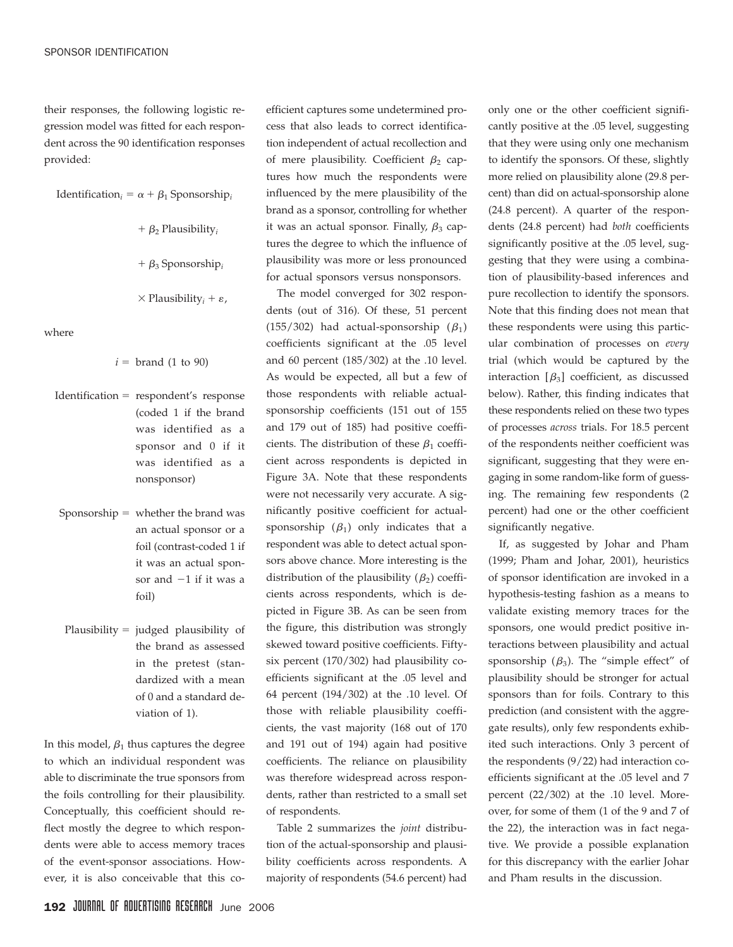their responses, the following logistic regression model was fitted for each respondent across the 90 identification responses provided:

$$
Identification_i = \alpha + \beta_1 \text{Sponsorship}_i
$$

 $+ \beta_2$  Plausibility<sub>i</sub>

 $+ \beta_3$  Sponsorship<sub>i</sub>

 $\times$  Plausibility<sub>*i*</sub> +  $\varepsilon$ ,

where

 $i =$  brand (1 to 90)

- $Identification = respondent's response$ (coded 1 if the brand was identified as a sponsor and 0 if it was identified as a nonsponsor)
- Sponsorship  $=$  whether the brand was an actual sponsor or a foil (contrast-coded 1 if it was an actual sponsor and  $-1$  if it was a foil)
- Plausibility  $=$  judged plausibility of the brand as assessed in the pretest (standardized with a mean of 0 and a standard deviation of 1).

In this model,  $\beta_1$  thus captures the degree to which an individual respondent was able to discriminate the true sponsors from the foils controlling for their plausibility. Conceptually, this coefficient should reflect mostly the degree to which respondents were able to access memory traces of the event-sponsor associations. However, it is also conceivable that this coefficient captures some undetermined process that also leads to correct identification independent of actual recollection and of mere plausibility. Coefficient  $\beta_2$  captures how much the respondents were influenced by the mere plausibility of the brand as a sponsor, controlling for whether it was an actual sponsor. Finally,  $\beta_3$  captures the degree to which the influence of plausibility was more or less pronounced for actual sponsors versus nonsponsors.

The model converged for 302 respondents (out of 316). Of these, 51 percent (155/302) had actual-sponsorship  $(\beta_1)$ coefficients significant at the .05 level and 60 percent (185/302) at the .10 level. As would be expected, all but a few of those respondents with reliable actualsponsorship coefficients (151 out of 155 and 179 out of 185) had positive coefficients. The distribution of these  $\beta_1$  coefficient across respondents is depicted in Figure 3A. Note that these respondents were not necessarily very accurate. A significantly positive coefficient for actualsponsorship  $(\beta_1)$  only indicates that a respondent was able to detect actual sponsors above chance. More interesting is the distribution of the plausibility  $(\beta_2)$  coefficients across respondents, which is depicted in Figure 3B. As can be seen from the figure, this distribution was strongly skewed toward positive coefficients. Fiftysix percent (170/302) had plausibility coefficients significant at the .05 level and 64 percent (194/302) at the .10 level. Of those with reliable plausibility coefficients, the vast majority (168 out of 170 and 191 out of 194) again had positive coefficients. The reliance on plausibility was therefore widespread across respondents, rather than restricted to a small set of respondents.

Table 2 summarizes the *joint* distribution of the actual-sponsorship and plausibility coefficients across respondents. A majority of respondents (54.6 percent) had

only one or the other coefficient significantly positive at the .05 level, suggesting that they were using only one mechanism to identify the sponsors. Of these, slightly more relied on plausibility alone (29.8 percent) than did on actual-sponsorship alone (24.8 percent). A quarter of the respondents (24.8 percent) had *both* coefficients significantly positive at the .05 level, suggesting that they were using a combination of plausibility-based inferences and pure recollection to identify the sponsors. Note that this finding does not mean that these respondents were using this particular combination of processes on *every* trial (which would be captured by the interaction  $[\beta_3]$  coefficient, as discussed below). Rather, this finding indicates that these respondents relied on these two types of processes *across* trials. For 18.5 percent of the respondents neither coefficient was significant, suggesting that they were engaging in some random-like form of guessing. The remaining few respondents (2 percent) had one or the other coefficient significantly negative.

If, as suggested by Johar and Pham (1999; Pham and Johar, 2001), heuristics of sponsor identification are invoked in a hypothesis-testing fashion as a means to validate existing memory traces for the sponsors, one would predict positive interactions between plausibility and actual sponsorship  $(\beta_3)$ . The "simple effect" of plausibility should be stronger for actual sponsors than for foils. Contrary to this prediction (and consistent with the aggregate results), only few respondents exhibited such interactions. Only 3 percent of the respondents (9/22) had interaction coefficients significant at the .05 level and 7 percent (22/302) at the .10 level. Moreover, for some of them (1 of the 9 and 7 of the 22), the interaction was in fact negative. We provide a possible explanation for this discrepancy with the earlier Johar and Pham results in the discussion.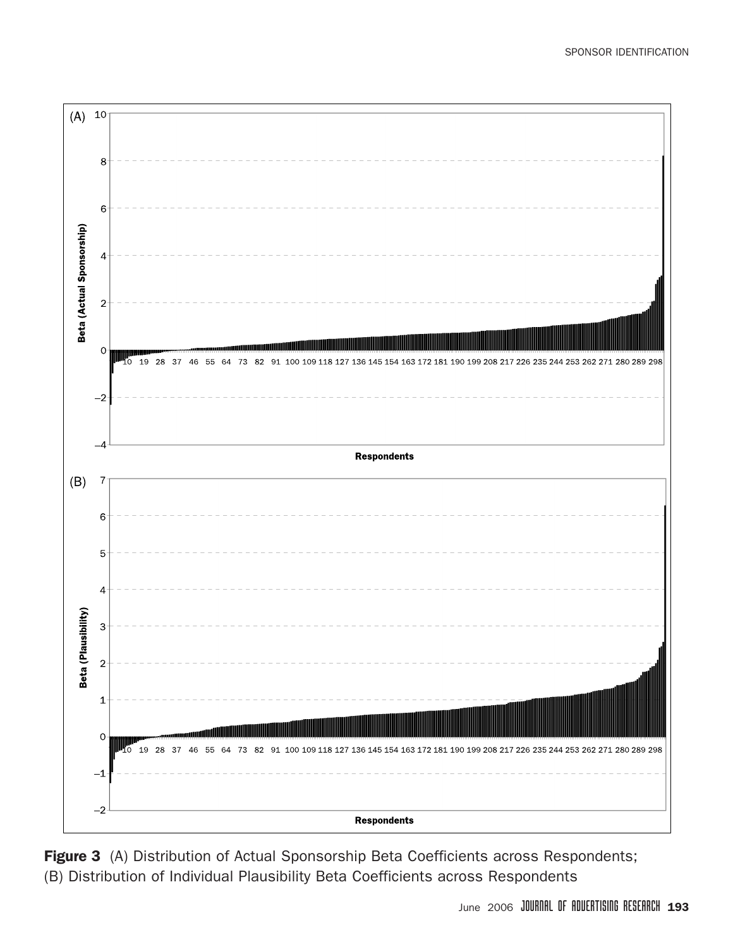

Figure 3 (A) Distribution of Actual Sponsorship Beta Coefficients across Respondents; (B) Distribution of Individual Plausibility Beta Coefficients across Respondents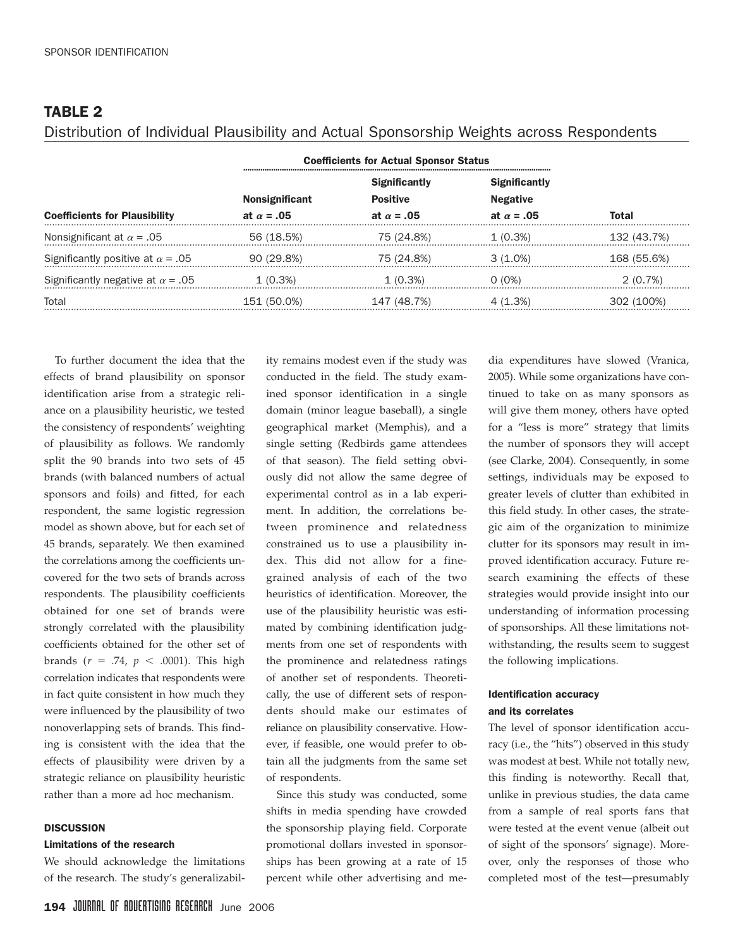# TABLE 2

# Distribution of Individual Plausibility and Actual Sponsorship Weights across Respondents

|                                          | <b>Coefficients for Actual Sponsor Status</b> |                      |                      |             |
|------------------------------------------|-----------------------------------------------|----------------------|----------------------|-------------|
|                                          |                                               | <b>Significantly</b> | <b>Significantly</b> |             |
|                                          | <b>Nonsignificant</b>                         | <b>Positive</b>      | <b>Negative</b>      |             |
| <b>Coefficients for Plausibility</b>     | at $\alpha = .05$                             | at $\alpha = .05$    | at $\alpha = .05$    | Total       |
| Nonsignificant at $\alpha$ = .05         | 56 (18.5%)                                    | 75 (24.8%)           | $1(0.3\%)$           | 132 (43.7%) |
| Significantly positive at $\alpha$ = .05 | 90 (29.8%)                                    | 75 (24.8%)           | $3(1.0\%)$           | 168 (55.6%) |
| Significantly negative at $\alpha$ = .05 | $1(0.3\%)$                                    | $1(0.3\%)$           | 0 (0%)               | $2(0.7\%)$  |
| Total                                    | 151 (50.0%)                                   | 147 (48.7%)          | 4(1.3%)              | 302 (100%)  |

To further document the idea that the effects of brand plausibility on sponsor identification arise from a strategic reliance on a plausibility heuristic, we tested the consistency of respondents' weighting of plausibility as follows. We randomly split the 90 brands into two sets of 45 brands (with balanced numbers of actual sponsors and foils) and fitted, for each respondent, the same logistic regression model as shown above, but for each set of 45 brands, separately. We then examined the correlations among the coefficients uncovered for the two sets of brands across respondents. The plausibility coefficients obtained for one set of brands were strongly correlated with the plausibility coefficients obtained for the other set of brands  $(r = .74, p < .0001)$ . This high correlation indicates that respondents were in fact quite consistent in how much they were influenced by the plausibility of two nonoverlapping sets of brands. This finding is consistent with the idea that the effects of plausibility were driven by a strategic reliance on plausibility heuristic rather than a more ad hoc mechanism.

#### **DISCUSSION**

#### Limitations of the research

We should acknowledge the limitations of the research. The study's generalizability remains modest even if the study was conducted in the field. The study examined sponsor identification in a single domain (minor league baseball), a single geographical market (Memphis), and a single setting (Redbirds game attendees of that season). The field setting obviously did not allow the same degree of experimental control as in a lab experiment. In addition, the correlations between prominence and relatedness constrained us to use a plausibility index. This did not allow for a finegrained analysis of each of the two heuristics of identification. Moreover, the use of the plausibility heuristic was estimated by combining identification judgments from one set of respondents with the prominence and relatedness ratings of another set of respondents. Theoretically, the use of different sets of respondents should make our estimates of reliance on plausibility conservative. However, if feasible, one would prefer to obtain all the judgments from the same set of respondents.

Since this study was conducted, some shifts in media spending have crowded the sponsorship playing field. Corporate promotional dollars invested in sponsorships has been growing at a rate of 15 percent while other advertising and media expenditures have slowed (Vranica, 2005). While some organizations have continued to take on as many sponsors as will give them money, others have opted for a "less is more" strategy that limits the number of sponsors they will accept (see Clarke, 2004). Consequently, in some settings, individuals may be exposed to greater levels of clutter than exhibited in this field study. In other cases, the strategic aim of the organization to minimize clutter for its sponsors may result in improved identification accuracy. Future research examining the effects of these strategies would provide insight into our understanding of information processing of sponsorships. All these limitations notwithstanding, the results seem to suggest the following implications.

## Identification accuracy and its correlates

The level of sponsor identification accuracy (i.e., the "hits") observed in this study was modest at best. While not totally new, this finding is noteworthy. Recall that, unlike in previous studies, the data came from a sample of real sports fans that were tested at the event venue (albeit out of sight of the sponsors' signage). Moreover, only the responses of those who completed most of the test—presumably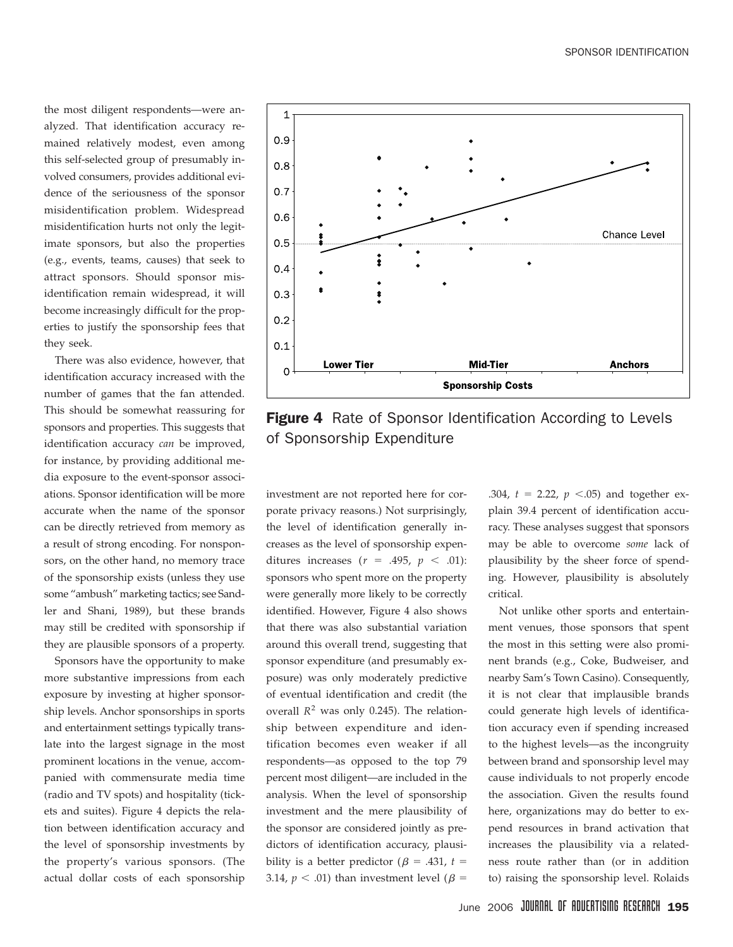the most diligent respondents—were analyzed. That identification accuracy remained relatively modest, even among this self-selected group of presumably involved consumers, provides additional evidence of the seriousness of the sponsor misidentification problem. Widespread misidentification hurts not only the legitimate sponsors, but also the properties (e.g., events, teams, causes) that seek to attract sponsors. Should sponsor misidentification remain widespread, it will become increasingly difficult for the properties to justify the sponsorship fees that they seek.

There was also evidence, however, that identification accuracy increased with the number of games that the fan attended. This should be somewhat reassuring for sponsors and properties. This suggests that identification accuracy *can* be improved, for instance, by providing additional media exposure to the event-sponsor associations. Sponsor identification will be more accurate when the name of the sponsor can be directly retrieved from memory as a result of strong encoding. For nonsponsors, on the other hand, no memory trace of the sponsorship exists (unless they use some "ambush" marketing tactics; see Sandler and Shani, 1989), but these brands may still be credited with sponsorship if they are plausible sponsors of a property.

Sponsors have the opportunity to make more substantive impressions from each exposure by investing at higher sponsorship levels. Anchor sponsorships in sports and entertainment settings typically translate into the largest signage in the most prominent locations in the venue, accompanied with commensurate media time (radio and TV spots) and hospitality (tickets and suites). Figure 4 depicts the relation between identification accuracy and the level of sponsorship investments by the property's various sponsors. (The actual dollar costs of each sponsorship



Figure 4 Rate of Sponsor Identification According to Levels of Sponsorship Expenditure

investment are not reported here for corporate privacy reasons.) Not surprisingly, the level of identification generally increases as the level of sponsorship expenditures increases  $(r = .495, p < .01)$ : sponsors who spent more on the property were generally more likely to be correctly identified. However, Figure 4 also shows that there was also substantial variation around this overall trend, suggesting that sponsor expenditure (and presumably exposure) was only moderately predictive of eventual identification and credit (the overall  $R^2$  was only 0.245). The relationship between expenditure and identification becomes even weaker if all respondents—as opposed to the top 79 percent most diligent—are included in the analysis. When the level of sponsorship investment and the mere plausibility of the sponsor are considered jointly as predictors of identification accuracy, plausibility is a better predictor ( $\beta$  = .431, *t* = 3.14,  $p < .01$ ) than investment level ( $\beta$  =

.304,  $t = 2.22$ ,  $p < .05$ ) and together explain 39.4 percent of identification accuracy. These analyses suggest that sponsors may be able to overcome *some* lack of plausibility by the sheer force of spending. However, plausibility is absolutely critical.

Not unlike other sports and entertainment venues, those sponsors that spent the most in this setting were also prominent brands (e.g., Coke, Budweiser, and nearby Sam's Town Casino). Consequently, it is not clear that implausible brands could generate high levels of identification accuracy even if spending increased to the highest levels—as the incongruity between brand and sponsorship level may cause individuals to not properly encode the association. Given the results found here, organizations may do better to expend resources in brand activation that increases the plausibility via a relatedness route rather than (or in addition to) raising the sponsorship level. Rolaids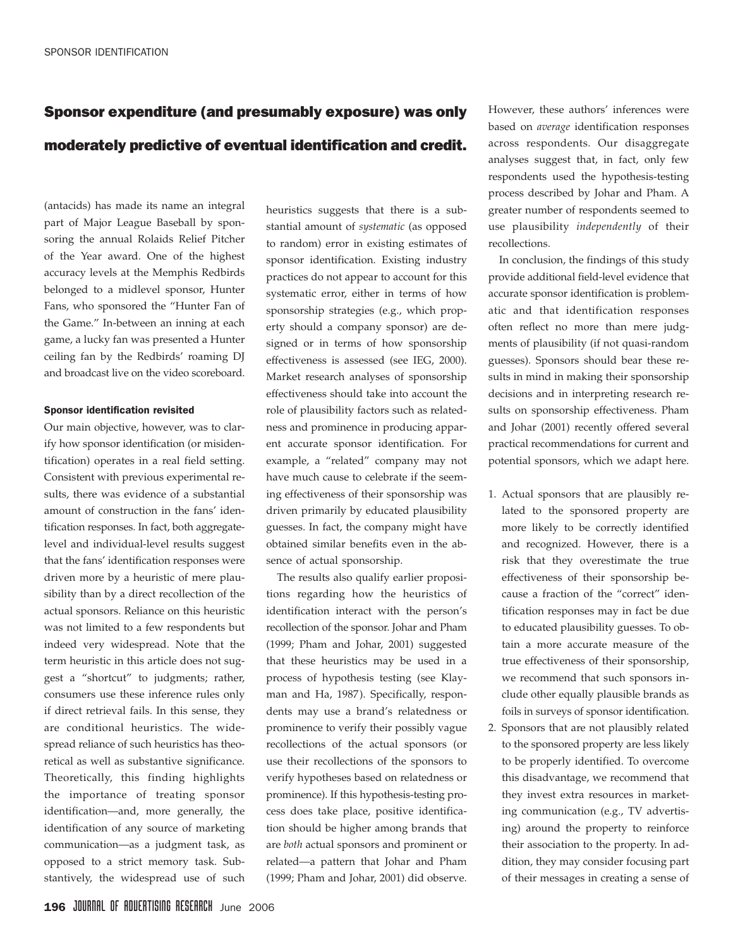# Sponsor expenditure (and presumably exposure) was only moderately predictive of eventual identification and credit.

(antacids) has made its name an integral part of Major League Baseball by sponsoring the annual Rolaids Relief Pitcher of the Year award. One of the highest accuracy levels at the Memphis Redbirds belonged to a midlevel sponsor, Hunter Fans, who sponsored the "Hunter Fan of the Game." In-between an inning at each game, a lucky fan was presented a Hunter ceiling fan by the Redbirds' roaming DJ and broadcast live on the video scoreboard.

#### Sponsor identification revisited

Our main objective, however, was to clarify how sponsor identification (or misidentification) operates in a real field setting. Consistent with previous experimental results, there was evidence of a substantial amount of construction in the fans' identification responses. In fact, both aggregatelevel and individual-level results suggest that the fans' identification responses were driven more by a heuristic of mere plausibility than by a direct recollection of the actual sponsors. Reliance on this heuristic was not limited to a few respondents but indeed very widespread. Note that the term heuristic in this article does not suggest a "shortcut" to judgments; rather, consumers use these inference rules only if direct retrieval fails. In this sense, they are conditional heuristics. The widespread reliance of such heuristics has theoretical as well as substantive significance. Theoretically, this finding highlights the importance of treating sponsor identification—and, more generally, the identification of any source of marketing communication—as a judgment task, as opposed to a strict memory task. Substantively, the widespread use of such

heuristics suggests that there is a substantial amount of *systematic* (as opposed to random) error in existing estimates of sponsor identification. Existing industry practices do not appear to account for this systematic error, either in terms of how sponsorship strategies (e.g., which property should a company sponsor) are designed or in terms of how sponsorship effectiveness is assessed (see IEG, 2000). Market research analyses of sponsorship effectiveness should take into account the role of plausibility factors such as relatedness and prominence in producing apparent accurate sponsor identification. For example, a "related" company may not have much cause to celebrate if the seeming effectiveness of their sponsorship was driven primarily by educated plausibility guesses. In fact, the company might have obtained similar benefits even in the absence of actual sponsorship.

The results also qualify earlier propositions regarding how the heuristics of identification interact with the person's recollection of the sponsor. Johar and Pham (1999; Pham and Johar, 2001) suggested that these heuristics may be used in a process of hypothesis testing (see Klayman and Ha, 1987). Specifically, respondents may use a brand's relatedness or prominence to verify their possibly vague recollections of the actual sponsors (or use their recollections of the sponsors to verify hypotheses based on relatedness or prominence). If this hypothesis-testing process does take place, positive identification should be higher among brands that are *both* actual sponsors and prominent or related—a pattern that Johar and Pham (1999; Pham and Johar, 2001) did observe. However, these authors' inferences were based on *average* identification responses across respondents. Our disaggregate analyses suggest that, in fact, only few respondents used the hypothesis-testing process described by Johar and Pham. A greater number of respondents seemed to use plausibility *independently* of their recollections.

In conclusion, the findings of this study provide additional field-level evidence that accurate sponsor identification is problematic and that identification responses often reflect no more than mere judgments of plausibility (if not quasi-random guesses). Sponsors should bear these results in mind in making their sponsorship decisions and in interpreting research results on sponsorship effectiveness. Pham and Johar (2001) recently offered several practical recommendations for current and potential sponsors, which we adapt here.

- 1. Actual sponsors that are plausibly related to the sponsored property are more likely to be correctly identified and recognized. However, there is a risk that they overestimate the true effectiveness of their sponsorship because a fraction of the "correct" identification responses may in fact be due to educated plausibility guesses. To obtain a more accurate measure of the true effectiveness of their sponsorship, we recommend that such sponsors include other equally plausible brands as foils in surveys of sponsor identification.
- 2. Sponsors that are not plausibly related to the sponsored property are less likely to be properly identified. To overcome this disadvantage, we recommend that they invest extra resources in marketing communication (e.g., TV advertising) around the property to reinforce their association to the property. In addition, they may consider focusing part of their messages in creating a sense of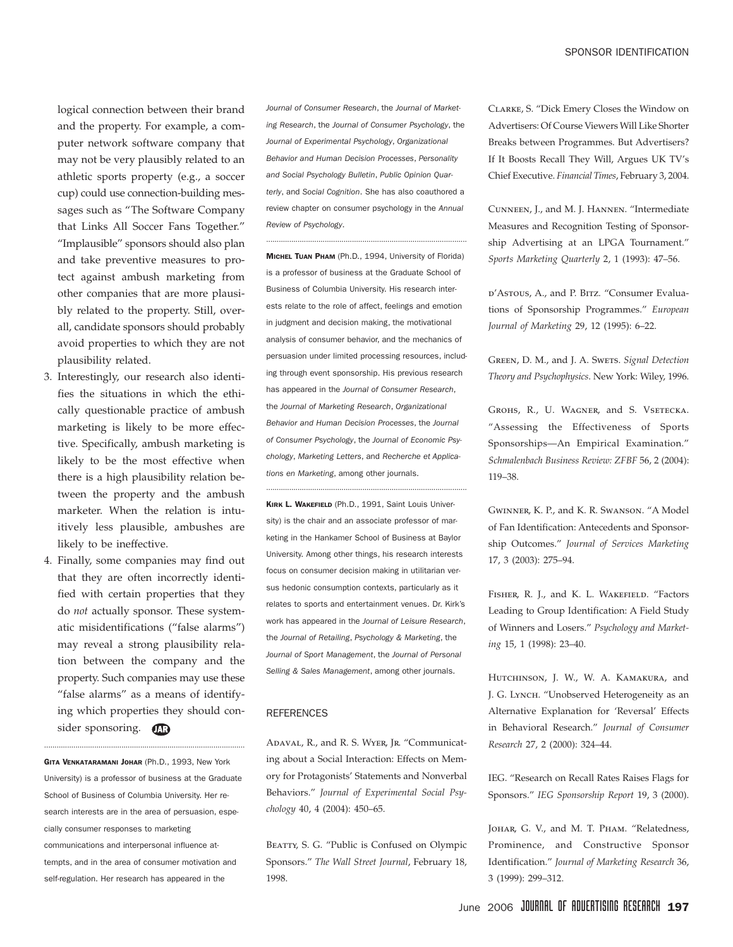logical connection between their brand and the property. For example, a computer network software company that may not be very plausibly related to an athletic sports property (e.g., a soccer cup) could use connection-building messages such as "The Software Company that Links All Soccer Fans Together." "Implausible" sponsors should also plan and take preventive measures to protect against ambush marketing from other companies that are more plausibly related to the property. Still, overall, candidate sponsors should probably avoid properties to which they are not plausibility related.

- 3. Interestingly, our research also identifies the situations in which the ethically questionable practice of ambush marketing is likely to be more effective. Specifically, ambush marketing is likely to be the most effective when there is a high plausibility relation between the property and the ambush marketer. When the relation is intuitively less plausible, ambushes are likely to be ineffective.
- 4. Finally, some companies may find out that they are often incorrectly identified with certain properties that they do *not* actually sponsor. These systematic misidentifications ("false alarms") may reveal a strong plausibility relation between the company and the property. Such companies may use these "false alarms" as a means of identifying which properties they should consider sponsoring. **The**

**GITA VENKATARAMANI JOHAR (Ph.D., 1993, New York** University) is a professor of business at the Graduate School of Business of Columbia University. Her research interests are in the area of persuasion, especially consumer responses to marketing communications and interpersonal influence attempts, and in the area of consumer motivation and self-regulation. Her research has appeared in the

................................................................................................

*Journal of Consumer Research*, the *Journal of Marketing Research*, the *Journal of Consumer Psychology*, the *Journal of Experimental Psychology*, *Organizational Behavior and Human Decision Processes*, *Personality and Social Psychology Bulletin*, *Public Opinion Quarterly*, and *Social Cognition*. She has also coauthored a review chapter on consumer psychology in the *Annual Review of Psychology*.

................................................................................................

MICHEL TUAN PHAM (Ph.D., 1994, University of Florida) is a professor of business at the Graduate School of Business of Columbia University. His research interests relate to the role of affect, feelings and emotion in judgment and decision making, the motivational analysis of consumer behavior, and the mechanics of persuasion under limited processing resources, including through event sponsorship. His previous research has appeared in the *Journal of Consumer Research*, the *Journal of Marketing Research*, *Organizational Behavior and Human Decision Processes*, the *Journal of Consumer Psychology*, the *Journal of Economic Psychology*, *Marketing Letters*, and *Recherche et Applications en Marketing*, among other journals.

KIRK L. WAKEFIELD (Ph.D., 1991, Saint Louis University) is the chair and an associate professor of marketing in the Hankamer School of Business at Baylor University. Among other things, his research interests focus on consumer decision making in utilitarian versus hedonic consumption contexts, particularly as it relates to sports and entertainment venues. Dr. Kirk's work has appeared in the *Journal of Leisure Research*, the *Journal of Retailing*, *Psychology & Marketing*, the *Journal of Sport Management*, the *Journal of Personal Selling & Sales Management*, among other journals.

................................................................................................

#### REFERENCES

ADAVAL, R., and R. S. WYER, JR. "Communicating about a Social Interaction: Effects on Memory for Protagonists' Statements and Nonverbal Behaviors." *Journal of Experimental Social Psychology* 40, 4 (2004): 450–65.

BEATTY, S. G. "Public is Confused on Olympic Sponsors." *The Wall Street Journal*, February 18, 1998.

Clarke, S. "Dick Emery Closes the Window on Advertisers: Of Course Viewers Will Like Shorter Breaks between Programmes. But Advertisers? If It Boosts Recall They Will, Argues UK TV's Chief Executive. *Financial Times*, February 3, 2004.

Cunneen, J., and M. J. Hannen. "Intermediate Measures and Recognition Testing of Sponsorship Advertising at an LPGA Tournament." *Sports Marketing Quarterly* 2, 1 (1993): 47–56.

d'Astous, A., and P. Bitz. "Consumer Evaluations of Sponsorship Programmes." *European Journal of Marketing* 29, 12 (1995): 6–22.

GREEN, D. M., and J. A. SwETS. *Signal Detection Theory and Psychophysics*. New York: Wiley, 1996.

GROHS, R., U. WAGNER, and S. VSETECKA. "Assessing the Effectiveness of Sports Sponsorships—An Empirical Examination." *Schmalenbach Business Review: ZFBF* 56, 2 (2004): 119–38.

Gwinner, K. P., and K. R. Swanson. "A Model of Fan Identification: Antecedents and Sponsorship Outcomes." *Journal of Services Marketing* 17, 3 (2003): 275–94.

FISHER, R. J., and K. L. WAKEFIELD. "Factors Leading to Group Identification: A Field Study of Winners and Losers." *Psychology and Marketing* 15, 1 (1998): 23–40.

HUTCHINSON, J. W., W. A. KAMAKURA, and J. G. LYNCH. "Unobserved Heterogeneity as an Alternative Explanation for 'Reversal' Effects in Behavioral Research." *Journal of Consumer Research* 27, 2 (2000): 324–44.

IEG. "Research on Recall Rates Raises Flags for Sponsors." *IEG Sponsorship Report* 19, 3 (2000).

JOHAR, G. V., and M. T. PHAM. "Relatedness, Prominence, and Constructive Sponsor Identification." *Journal of Marketing Research* 36, 3 (1999): 299–312.